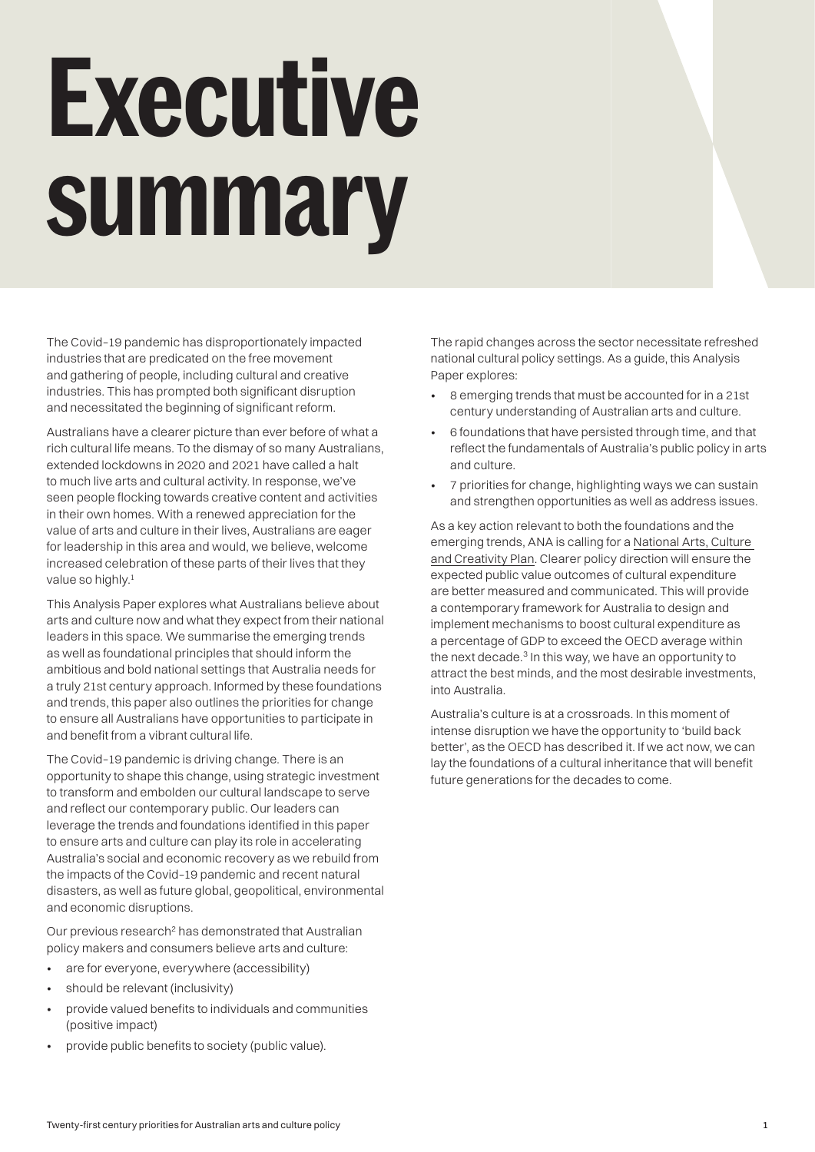# <span id="page-0-0"></span>**Executive summary**

The Covid–19 pandemic has disproportionately impacted industries that are predicated on the free movement and gathering of people, including cultural and creative industries. This has prompted both significant disruption and necessitated the beginning of significant reform.

Australians have a clearer picture than ever before of what a rich cultural life means. To the dismay of so many Australians, extended lockdowns in 2020 and 2021 have called a halt to much live arts and cultural activity. In response, we've seen people flocking towards creative content and activities in their own homes. With a renewed appreciation for the value of arts and culture in their lives, Australians are eager for leadership in this area and would, we believe, welcome increased celebration of these parts of their lives that they value so highly.<sup>1</sup>

This Analysis Paper explores what Australians believe about arts and culture now and what they expect from their national leaders in this space. We summarise the emerging trends as well as foundational principles that should inform the ambitious and bold national settings that Australia needs for a truly 21st century approach. Informed by these foundations and trends, this paper also outlines the priorities for change to ensure all Australians have opportunities to participate in and benefit from a vibrant cultural life.

The Covid–19 pandemic is driving change. There is an opportunity to shape this change, using strategic investment to transform and embolden our cultural landscape to serve and reflect our contemporary public. Our leaders can leverage the trends and foundations identified in this paper to ensure arts and culture can play its role in accelerating Australia's social and economic recovery as we rebuild from the impacts of the Covid–19 pandemic and recent natural disasters, as well as future global, geopolitical, environmental and economic disruptions.

Our previous research<sup>2</sup> has demonstrated that Australian policy makers and consumers believe arts and culture:

- are for everyone, everywhere (accessibility)
- should be relevant (inclusivity)
- provide valued benefits to individuals and communities (positive impact)
- provide public benefits to society (public value).

The rapid changes across the sector necessitate refreshed national cultural policy settings. As a guide, this Analysis Paper explores:

- 8 emerging trends that must be accounted for in a 21st century understanding of Australian arts and culture.
- 6 foundations that have persisted through time, and that reflect the fundamentals of Australia's public policy in arts and culture.
- 7 priorities for change, highlighting ways we can sustain and strengthen opportunities as well as address issues.

As a key action relevant to both the foundations and the emerging trends, ANA is calling for a [National Arts, Culture](https://newapproach.org.au/wp-content/uploads/2021/07/Imagining-2030-ANA-2021-01-3.pdf)  [and Creativity Plan.](https://newapproach.org.au/wp-content/uploads/2021/07/Imagining-2030-ANA-2021-01-3.pdf) Clearer policy direction will ensure the expected public value outcomes of cultural expenditure are better measured and communicated. This will provide a contemporary framework for Australia to design and implement mechanisms to boost cultural expenditure as a percentage of GDP to exceed the OECD average within the next decade. $3$  In this way, we have an opportunity to attract the best minds, and the most desirable investments, into Australia.

Australia's culture is at a crossroads. In this moment of intense disruption we have the opportunity to 'build back better', as the OECD has described it. If we act now, we can lay the foundations of a cultural inheritance that will benefit future generations for the decades to come.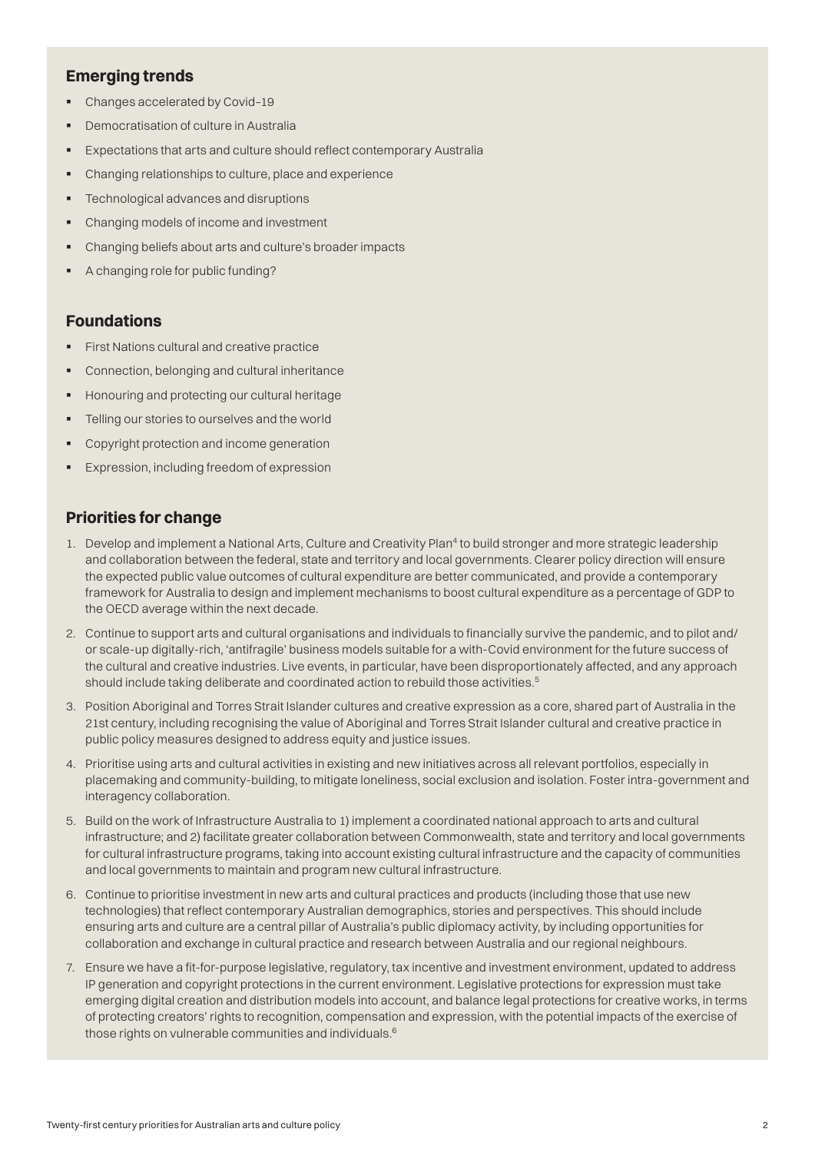### <span id="page-1-0"></span>**Emerging trends**

- Changes accelerated by Covid-19
- § Democratisation of culture in Australia
- Expectations that arts and culture should reflect contemporary Australia
- § Changing relationships to culture, place and experience
- § Technological advances and disruptions
- § Changing models of income and investment
- § Changing beliefs about arts and culture's broader impacts
- § A changing role for public funding?

#### **Foundations**

- **•** First Nations cultural and creative practice
- § Connection, belonging and cultural inheritance
- Honouring and protecting our cultural heritage
- Telling our stories to ourselves and the world
- § Copyright protection and income generation
- Expression, including freedom of expression

#### **Priorities for change**

- 1. Develop and implement a National Arts, Culture and Creativity Plan<sup>[4](#page-2-0)</sup> to build stronger and more strategic leadership and collaboration between the federal, state and territory and local governments. Clearer policy direction will ensure the expected public value outcomes of cultural expenditure are better communicated, and provide a contemporary framework for Australia to design and implement mechanisms to boost cultural expenditure as a percentage of GDP to the OECD average within the next decade.
- 2. Continue to support arts and cultural organisations and individuals to financially survive the pandemic, and to pilot and/ or scale-up digitally-rich, 'antifragile' business models suitable for a with-Covid environment for the future success of the cultural and creative industries. Live events, in particular, have been disproportionately affected, and any approach should include taking deliberate and coordinated action to rebuild those activities.<sup>[5](#page-2-0)</sup>
- 3. Position Aboriginal and Torres Strait Islander cultures and creative expression as a core, shared part of Australia in the 21st century, including recognising the value of Aboriginal and Torres Strait Islander cultural and creative practice in public policy measures designed to address equity and justice issues.
- 4. Prioritise using arts and cultural activities in existing and new initiatives across all relevant portfolios, especially in placemaking and community-building, to mitigate loneliness, social exclusion and isolation. Foster intra-government and interagency collaboration.
- 5. Build on the work of Infrastructure Australia to 1) implement a coordinated national approach to arts and cultural infrastructure; and 2) facilitate greater collaboration between Commonwealth, state and territory and local governments for cultural infrastructure programs, taking into account existing cultural infrastructure and the capacity of communities and local governments to maintain and program new cultural infrastructure.
- 6. Continue to prioritise investment in new arts and cultural practices and products (including those that use new technologies) that reflect contemporary Australian demographics, stories and perspectives. This should include ensuring arts and culture are a central pillar of Australia's public diplomacy activity, by including opportunities for collaboration and exchange in cultural practice and research between Australia and our regional neighbours.
- 7. Ensure we have a fit-for-purpose legislative, regulatory, tax incentive and investment environment, updated to address IP generation and copyright protections in the current environment. Legislative protections for expression must take emerging digital creation and distribution models into account, and balance legal protections for creative works, in terms of protecting creators' rights to recognition, compensation and expression, with the potential impacts of the exercise of those rights on vulnerable communities and individuals.[6](#page-2-0)